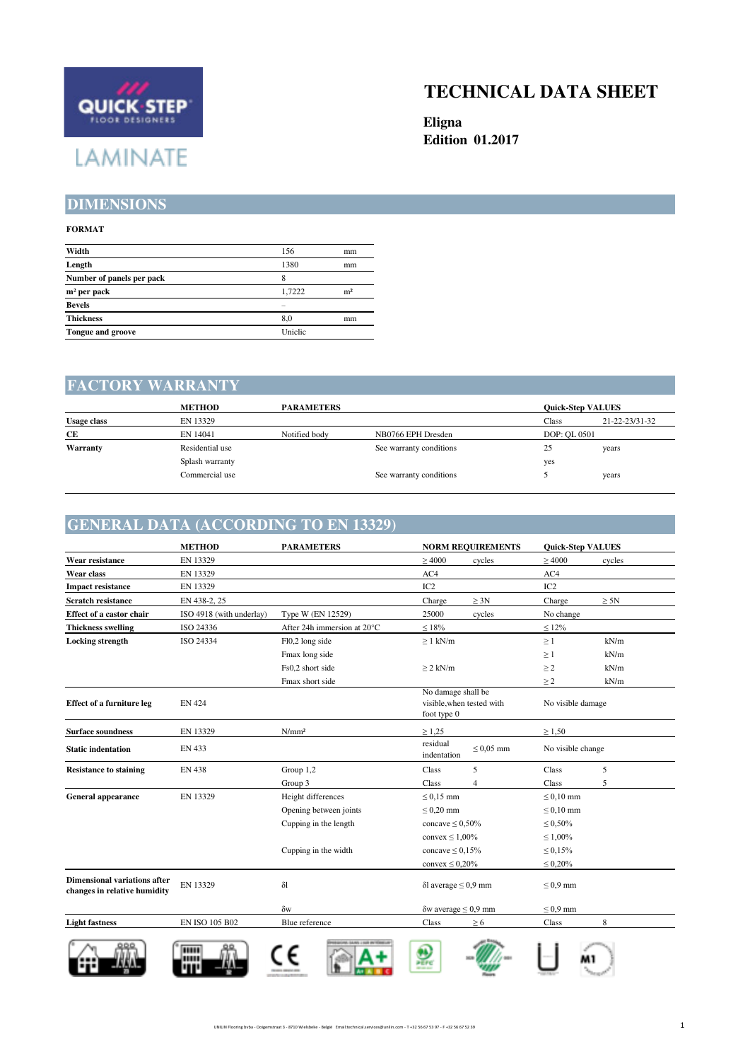

## **TECHNICAL DATA SHEET**

**Eligna Edition 01.2017**

#### **DIMENSIONS**

#### **FORMAT**

| Width                     | 156     | mm             |
|---------------------------|---------|----------------|
| Length                    | 1380    | mm             |
| Number of panels per pack | 8       |                |
| $m2$ per pack             | 1.7222  | m <sup>2</sup> |
| <b>Bevels</b>             |         |                |
| <b>Thickness</b>          | 8.0     | mm             |
| Tongue and groove         | Uniclic |                |
|                           |         |                |

#### **FACTORY WARRANTY**

|                    | <b>METHOD</b>   | <b>PARAMETERS</b> | <b>Ouick-Step VALUES</b> |              |                |
|--------------------|-----------------|-------------------|--------------------------|--------------|----------------|
| <b>Usage class</b> | EN 13329        |                   |                          | Class        | 21-22-23/31-32 |
| СE                 | EN 14041        | Notified body     | NB0766 EPH Dresden       | DOP: OL 0501 |                |
| Warranty           | Residential use |                   | See warranty conditions  | 25           | years          |
|                    | Splash warranty |                   |                          | yes          |                |
|                    | Commercial use  |                   | See warranty conditions  |              | years          |

#### **GENERAL DATA (ACCORDING TO EN 13329)**

|                                                                     | <b>METHOD</b>            | <b>PARAMETERS</b>           | <b>NORM REQUIREMENTS</b>                                       | <b>Quick-Step VALUES</b> |
|---------------------------------------------------------------------|--------------------------|-----------------------------|----------------------------------------------------------------|--------------------------|
| Wear resistance                                                     | EN 13329                 |                             | $\geq 4000$<br>cycles                                          | $\geq 4000$<br>cycles    |
| Wear class                                                          | EN 13329                 |                             | AC4                                                            | AC4                      |
| <b>Impact resistance</b>                                            | EN 13329                 |                             | IC <sub>2</sub>                                                | IC <sub>2</sub>          |
| <b>Scratch resistance</b>                                           | EN 438-2, 25             |                             | $\geq 3N$<br>Charge                                            | Charge<br>$\geq 5N$      |
| Effect of a castor chair                                            | ISO 4918 (with underlay) | Type W (EN 12529)           | 25000<br>cycles                                                | No change                |
| <b>Thickness swelling</b>                                           | ISO 24336                | After 24h immersion at 20°C | $\leq 18\%$                                                    | $\leq 12\%$              |
| <b>Locking</b> strength                                             | ISO 24334                | Fl0,2 long side             | $\geq 1$ kN/m                                                  | $\geq 1$<br>kN/m         |
|                                                                     |                          | Fmax long side              |                                                                | kN/m<br>$\geq 1$         |
|                                                                     |                          | Fs0,2 short side            | $\geq$ 2 kN/m                                                  | kN/m<br>$\geq$ 2         |
|                                                                     |                          | Fmax short side             |                                                                | kN/m<br>$\geq$ 2         |
| <b>Effect of a furniture leg</b>                                    | <b>EN 424</b>            |                             | No damage shall be<br>visible, when tested with<br>foot type 0 | No visible damage        |
| <b>Surface soundness</b>                                            | EN 13329                 | N/mm <sup>2</sup>           | $\geq 1,25$                                                    | $\geq 1,50$              |
| <b>Static indentation</b>                                           | EN 433                   |                             | residual<br>$\leq 0.05$ mm<br>indentation                      | No visible change        |
| <b>Resistance to staining</b>                                       | <b>EN 438</b>            | Group 1,2                   | 5<br>Class                                                     | Class<br>5               |
|                                                                     |                          | Group 3                     | Class<br>$\overline{4}$                                        | Class<br>5               |
| <b>General appearance</b>                                           | EN 13329                 | Height differences          | $\leq$ 0,15 mm                                                 | $\leq 0.10$ mm           |
|                                                                     |                          | Opening between joints      | $\leq 0.20$ mm                                                 | $\leq 0.10$ mm           |
|                                                                     |                          | Cupping in the length       | concave $\leq 0,50\%$                                          | $\leq 0,50\%$            |
|                                                                     |                          |                             | convex $\leq 1,00\%$                                           | $\leq 1,00\%$            |
|                                                                     |                          | Cupping in the width        | concave $\leq 0.15\%$                                          | $\leq 0.15\%$            |
|                                                                     |                          |                             | convex $\leq 0,20\%$                                           | $\leq 0.20\%$            |
| <b>Dimensional variations after</b><br>changes in relative humidity | EN 13329                 | $\delta$ l                  | $\delta$ l average $\leq 0.9$ mm                               | $\leq 0.9$ mm            |
|                                                                     |                          | $\delta w$                  | $\delta w$ average $\leq 0.9$ mm                               | $\leq 0.9$ mm            |
| <b>Light fastness</b>                                               | EN ISO 105 B02           | Blue reference              | Class<br>$\geq 6$                                              | 8<br>$\rm Class$         |
|                                                                     | ш                        |                             | <b>PEPC</b>                                                    |                          |